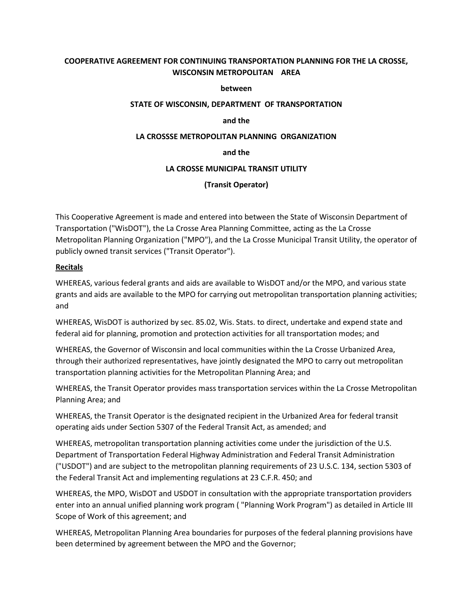# **COOPERATIVE AGREEMENT FOR CONTINUING TRANSPORTATION PLANNING FOR THE LA CROSSE, WISCONSIN METROPOLITAN AREA**

#### **between**

#### **STATE OF WISCONSIN, DEPARTMENT OF TRANSPORTATION**

#### **and the**

#### **LA CROSSSE METROPOLITAN PLANNING ORGANIZATION**

#### **and the**

#### **LA CROSSE MUNICIPAL TRANSIT UTILITY**

## **(Transit Operator)**

This Cooperative Agreement is made and entered into between the State of Wisconsin Department of Transportation ("WisDOT"), the La Crosse Area Planning Committee, acting as the La Crosse Metropolitan Planning Organization ("MPO"), and the La Crosse Municipal Transit Utility, the operator of publicly owned transit services ("Transit Operator").

## **Recitals**

WHEREAS, various federal grants and aids are available to WisDOT and/or the MPO, and various state grants and aids are available to the MPO for carrying out metropolitan transportation planning activities; and

WHEREAS, WisDOT is authorized by sec. 85.02, Wis. Stats. to direct, undertake and expend state and federal aid for planning, promotion and protection activities for all transportation modes; and

WHEREAS, the Governor of Wisconsin and local communities within the La Crosse Urbanized Area, through their authorized representatives, have jointly designated the MPO to carry out metropolitan transportation planning activities for the Metropolitan Planning Area; and

WHEREAS, the Transit Operator provides mass transportation services within the La Crosse Metropolitan Planning Area; and

WHEREAS, the Transit Operator is the designated recipient in the Urbanized Area for federal transit operating aids under Section 5307 of the Federal Transit Act, as amended; and

WHEREAS, metropolitan transportation planning activities come under the jurisdiction of the U.S. Department of Transportation Federal Highway Administration and Federal Transit Administration ("USDOT") and are subject to the metropolitan planning requirements of 23 U.S.C. 134, section 5303 of the Federal Transit Act and implementing regulations at 23 C.F.R. 450; and

WHEREAS, the MPO, WisDOT and USDOT in consultation with the appropriate transportation providers enter into an annual unified planning work program ( "Planning Work Program") as detailed in Article III Scope of Work of this agreement; and

WHEREAS, Metropolitan Planning Area boundaries for purposes of the federal planning provisions have been determined by agreement between the MPO and the Governor;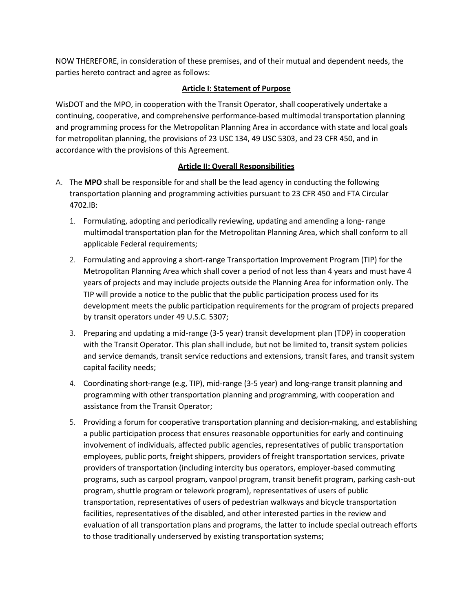NOW THEREFORE, in consideration of these premises, and of their mutual and dependent needs, the parties hereto contract and agree as follows:

## **Article I: Statement of Purpose**

WisDOT and the MPO, in cooperation with the Transit Operator, shall cooperatively undertake a continuing, cooperative, and comprehensive performance-based multimodal transportation planning and programming process for the Metropolitan Planning Area in accordance with state and local goals for metropolitan planning, the provisions of 23 USC 134, 49 USC 5303, and 23 CFR 450, and in accordance with the provisions of this Agreement.

## **Article II: Overall Responsibilities**

- A. The **MPO** shall be responsible for and shall be the lead agency in conducting the following transportation planning and programming activities pursuant to 23 CFR 450 and FTA Circular 4702.lB:
	- 1. Formulating, adopting and periodically reviewing, updating and amending a long- range multimodal transportation plan for the Metropolitan Planning Area, which shall conform to all applicable Federal requirements;
	- 2. Formulating and approving a short-range Transportation Improvement Program (TIP) for the Metropolitan Planning Area which shall cover a period of not less than 4 years and must have 4 years of projects and may include projects outside the Planning Area for information only. The TIP will provide a notice to the public that the public participation process used for its development meets the public participation requirements for the program of projects prepared by transit operators under 49 U.S.C. 5307;
	- 3. Preparing and updating a mid-range (3-5 year) transit development plan (TDP) in cooperation with the Transit Operator. This plan shall include, but not be limited to, transit system policies and service demands, transit service reductions and extensions, transit fares, and transit system capital facility needs;
	- 4. Coordinating short-range (e.g, TIP), mid-range (3-5 year) and long-range transit planning and programming with other transportation planning and programming, with cooperation and assistance from the Transit Operator;
	- 5. Providing a forum for cooperative transportation planning and decision-making, and establishing a public participation process that ensures reasonable opportunities for early and continuing involvement of individuals, affected public agencies, representatives of public transportation employees, public ports, freight shippers, providers of freight transportation services, private providers of transportation (including intercity bus operators, employer-based commuting programs, such as carpool program, vanpool program, transit benefit program, parking cash-out program, shuttle program or telework program), representatives of users of public transportation, representatives of users of pedestrian walkways and bicycle transportation facilities, representatives of the disabled, and other interested parties in the review and evaluation of all transportation plans and programs, the latter to include special outreach efforts to those traditionally underserved by existing transportation systems;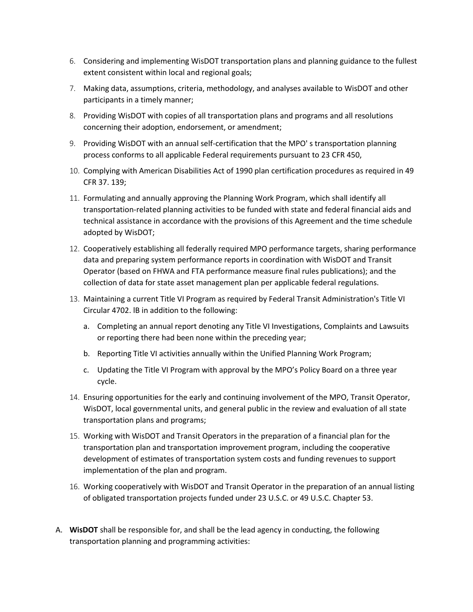- 6. Considering and implementing WisDOT transportation plans and planning guidance to the fullest extent consistent within local and regional goals;
- 7. Making data, assumptions, criteria, methodology, and analyses available to WisDOT and other participants in a timely manner;
- 8. Providing WisDOT with copies of all transportation plans and programs and all resolutions concerning their adoption, endorsement, or amendment;
- 9. Providing WisDOT with an annual self-certification that the MPO' s transportation planning process conforms to all applicable Federal requirements pursuant to 23 CFR 450,
- 10. Complying with American Disabilities Act of 1990 plan certification procedures as required in 49 CFR 37. 139;
- 11. Formulating and annually approving the Planning Work Program, which shall identify all transportation-related planning activities to be funded with state and federal financial aids and technical assistance in accordance with the provisions of this Agreement and the time schedule adopted by WisDOT;
- 12. Cooperatively establishing all federally required MPO performance targets, sharing performance data and preparing system performance reports in coordination with WisDOT and Transit Operator (based on FHWA and FTA performance measure final rules publications); and the collection of data for state asset management plan per applicable federal regulations.
- 13. Maintaining a current Title VI Program as required by Federal Transit Administration's Title VI Circular 4702. lB in addition to the following:
	- a. Completing an annual report denoting any Title VI Investigations, Complaints and Lawsuits or reporting there had been none within the preceding year;
	- b. Reporting Title VI activities annually within the Unified Planning Work Program;
	- c. Updating the Title VI Program with approval by the MPO's Policy Board on a three year cycle.
- 14. Ensuring opportunities for the early and continuing involvement of the MPO, Transit Operator, WisDOT, local governmental units, and general public in the review and evaluation of all state transportation plans and programs;
- 15. Working with WisDOT and Transit Operators in the preparation of a financial plan for the transportation plan and transportation improvement program, including the cooperative development of estimates of transportation system costs and funding revenues to support implementation of the plan and program.
- 16. Working cooperatively with WisDOT and Transit Operator in the preparation of an annual listing of obligated transportation projects funded under 23 U.S.C. or 49 U.S.C. Chapter 53.
- A. **WisDOT** shall be responsible for, and shall be the lead agency in conducting, the following transportation planning and programming activities: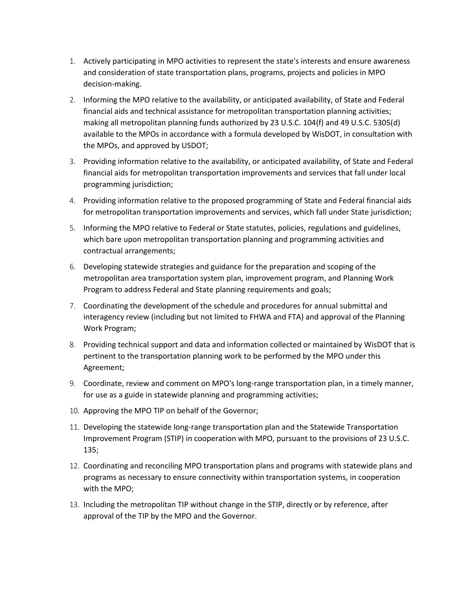- 1. Actively participating in MPO activities to represent the state's interests and ensure awareness and consideration of state transportation plans, programs, projects and policies in MPO decision-making.
- 2. Informing the MPO relative to the availability, or anticipated availability, of State and Federal financial aids and technical assistance for metropolitan transportation planning activities; making all metropolitan planning funds authorized by 23 U.S.C. 104(f) and 49 U.S.C. 5305(d) available to the MPOs in accordance with a formula developed by WisDOT, in consultation with the MPOs, and approved by USDOT;
- 3. Providing information relative to the availability, or anticipated availability, of State and Federal financial aids for metropolitan transportation improvements and services that fall under local programming jurisdiction;
- 4. Providing information relative to the proposed programming of State and Federal financial aids for metropolitan transportation improvements and services, which fall under State jurisdiction;
- 5. Informing the MPO relative to Federal or State statutes, policies, regulations and guidelines, which bare upon metropolitan transportation planning and programming activities and contractual arrangements;
- 6. Developing statewide strategies and guidance for the preparation and scoping of the metropolitan area transportation system plan, improvement program, and Planning Work Program to address Federal and State planning requirements and goals;
- 7. Coordinating the development of the schedule and procedures for annual submittal and interagency review (including but not limited to FHWA and FTA) and approval of the Planning Work Program;
- 8. Providing technical support and data and information collected or maintained by WisDOT that is pertinent to the transportation planning work to be performed by the MPO under this Agreement;
- 9. Coordinate, review and comment on MPO's long-range transportation plan, in a timely manner, for use as a guide in statewide planning and programming activities;
- 10. Approving the MPO TIP on behalf of the Governor;
- 11. Developing the statewide long-range transportation plan and the Statewide Transportation Improvement Program (STIP) in cooperation with MPO, pursuant to the provisions of 23 U.S.C. 135;
- 12. Coordinating and reconciling MPO transportation plans and programs with statewide plans and programs as necessary to ensure connectivity within transportation systems, in cooperation with the MPO;
- 13. Including the metropolitan TIP without change in the STIP, directly or by reference, after approval of the TIP by the MPO and the Governor.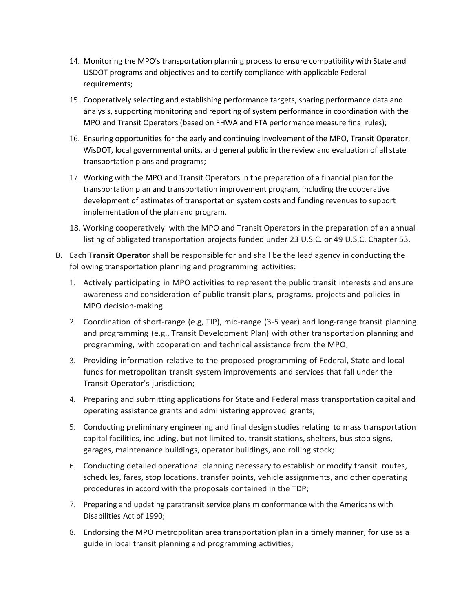- 14. Monitoring the MPO's transportation planning process to ensure compatibility with State and USDOT programs and objectives and to certify compliance with applicable Federal requirements;
- 15. Cooperatively selecting and establishing performance targets, sharing performance data and analysis, supporting monitoring and reporting of system performance in coordination with the MPO and Transit Operators (based on FHWA and FTA performance measure final rules);
- 16. Ensuring opportunities for the early and continuing involvement of the MPO, Transit Operator, WisDOT, local governmental units, and general public in the review and evaluation of all state transportation plans and programs;
- 17. Working with the MPO and Transit Operators in the preparation of a financial plan for the transportation plan and transportation improvement program, including the cooperative development of estimates of transportation system costs and funding revenues to support implementation of the plan and program.
- 18. Working cooperatively with the MPO and Transit Operators in the preparation of an annual listing of obligated transportation projects funded under 23 U.S.C. or 49 U.S.C. Chapter 53.
- B. Each **Transit Operator** shall be responsible for and shall be the lead agency in conducting the following transportation planning and programming activities:
	- 1. Actively participating in MPO activities to represent the public transit interests and ensure awareness and consideration of public transit plans, programs, projects and policies in MPO decision-making.
	- 2. Coordination of short-range (e.g, TIP), mid-range (3-5 year) and long-range transit planning and programming (e.g., Transit Development Plan) with other transportation planning and programming, with cooperation and technical assistance from the MPO;
	- 3. Providing information relative to the proposed programming of Federal, State and local funds for metropolitan transit system improvements and services that fall under the Transit Operator's jurisdiction;
	- 4. Preparing and submitting applications for State and Federal mass transportation capital and operating assistance grants and administering approved grants;
	- 5. Conducting preliminary engineering and final design studies relating to mass transportation capital facilities, including, but not limited to, transit stations, shelters, bus stop signs, garages, maintenance buildings, operator buildings, and rolling stock;
	- 6. Conducting detailed operational planning necessary to establish or modify transit routes, schedules, fares, stop locations, transfer points, vehicle assignments, and other operating procedures in accord with the proposals contained in the TDP;
	- 7. Preparing and updating paratransit service plans m conformance with the Americans with Disabilities Act of 1990;
	- 8. Endorsing the MPO metropolitan area transportation plan in a timely manner, for use as a guide in local transit planning and programming activities;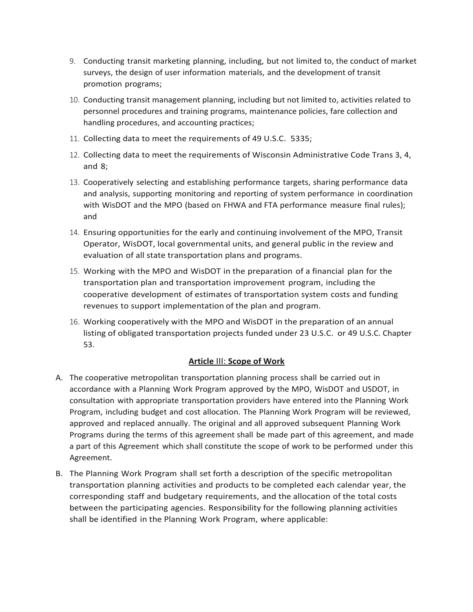- 9. Conducting transit marketing planning, including, but not limited to, the conduct of market surveys, the design of user information materials, and the development of transit promotion programs;
- 10. Conducting transit management planning, including but not limited to, activities related to personnel procedures and training programs, maintenance policies, fare collection and handling procedures, and accounting practices;
- 11. Collecting data to meet the requirements of 49 U.S.C. 5335;
- 12. Collecting data to meet the requirements of Wisconsin Administrative Code Trans 3, 4, and 8;
- 13. Cooperatively selecting and establishing performance targets, sharing performance data and analysis, supporting monitoring and reporting of system performance in coordination with WisDOT and the MPO (based on FHWA and FTA performance measure final rules); and
- 14. Ensuring opportunities for the early and continuing involvement of the MPO, Transit Operator, WisDOT, local governmental units, and general public in the review and evaluation of all state transportation plans and programs.
- 15. Working with the MPO and WisDOT in the preparation of a financial plan for the transportation plan and transportation improvement program, including the cooperative development of estimates of transportation system costs and funding revenues to support implementation of the plan and program.
- 16. Working cooperatively with the MPO and WisDOT in the preparation of an annual listing of obligated transportation projects funded under 23 U.S.C. or 49 U.S.C. Chapter 53.

## **Article** III: **Scope of Work**

- A. The cooperative metropolitan transportation planning process shall be carried out in accordance with a Planning Work Program approved by the MPO, WisDOT and USDOT, in consultation with appropriate transportation providers have entered into the Planning Work Program, including budget and cost allocation. The Planning Work Program will be reviewed, approved and replaced annually. The original and all approved subsequent Planning Work Programs during the terms of this agreement shall be made part of this agreement, and made a part of this Agreement which shall constitute the scope of work to be performed under this Agreement.
- B. The Planning Work Program shall set forth a description of the specific metropolitan transportation planning activities and products to be completed each calendar year, the corresponding staff and budgetary requirements, and the allocation of the total costs between the participating agencies. Responsibility for the following planning activities shall be identified in the Planning Work Program, where applicable: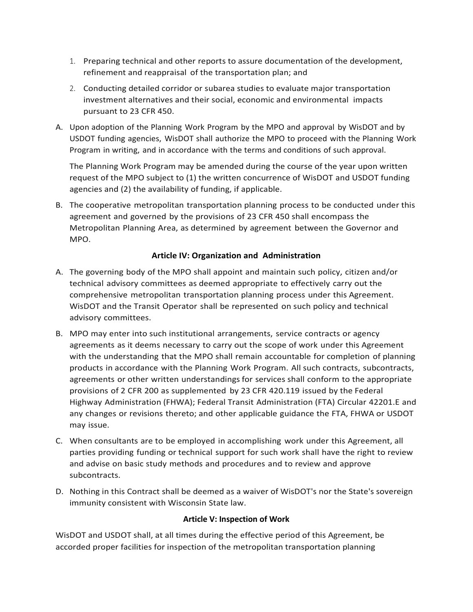- 1. Preparing technical and other reports to assure documentation of the development, refinement and reappraisal of the transportation plan; and
- 2. Conducting detailed corridor or subarea studies to evaluate major transportation investment alternatives and their social, economic and environmental impacts pursuant to 23 CFR 450.
- A. Upon adoption of the Planning Work Program by the MPO and approval by WisDOT and by USDOT funding agencies, WisDOT shall authorize the MPO to proceed with the Planning Work Program in writing, and in accordance with the terms and conditions of such approval.

The Planning Work Program may be amended during the course of the year upon written request of the MPO subject to (1) the written concurrence of WisDOT and USDOT funding agencies and (2) the availability of funding, if applicable.

B. The cooperative metropolitan transportation planning process to be conducted under this agreement and governed by the provisions of 23 CFR 450 shall encompass the Metropolitan Planning Area, as determined by agreement between the Governor and MPO.

# **Article IV: Organization and Administration**

- A. The governing body of the MPO shall appoint and maintain such policy, citizen and/or technical advisory committees as deemed appropriate to effectively carry out the comprehensive metropolitan transportation planning process under this Agreement. WisDOT and the Transit Operator shall be represented on such policy and technical advisory committees.
- B. MPO may enter into such institutional arrangements, service contracts or agency agreements as it deems necessary to carry out the scope of work under this Agreement with the understanding that the MPO shall remain accountable for completion of planning products in accordance with the Planning Work Program. All such contracts, subcontracts, agreements or other written understandings for services shall conform to the appropriate provisions of 2 CFR 200 as supplemented by 23 CFR 420.119 issued by the Federal Highway Administration (FHWA); Federal Transit Administration (FTA) Circular 42201.E and any changes or revisions thereto; and other applicable guidance the FTA, FHWA or USDOT may issue.
- C. When consultants are to be employed in accomplishing work under this Agreement, all parties providing funding or technical support for such work shall have the right to review and advise on basic study methods and procedures and to review and approve subcontracts.
- D. Nothing in this Contract shall be deemed as a waiver of WisDOT's nor the State's sovereign immunity consistent with Wisconsin State law.

## **Article V: Inspection of Work**

WisDOT and USDOT shall, at all times during the effective period of this Agreement, be accorded proper facilities for inspection of the metropolitan transportation planning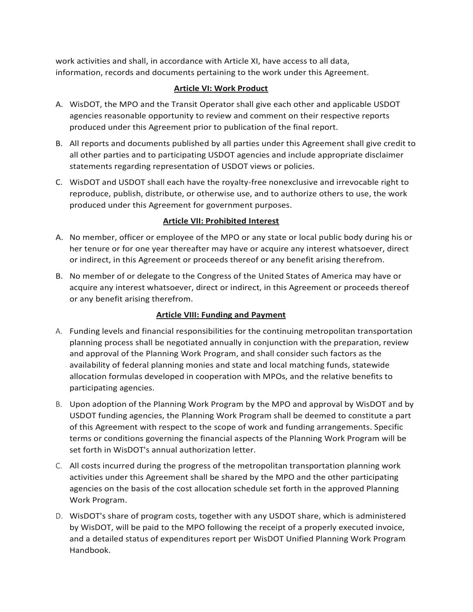work activities and shall, in accordance with Article XI, have access to all data, information, records and documents pertaining to the work under this Agreement.

# **Article VI: Work Product**

- A. WisDOT, the MPO and the Transit Operator shall give each other and applicable USDOT agencies reasonable opportunity to review and comment on their respective reports produced under this Agreement prior to publication of the final report.
- B. All reports and documents published by all parties under this Agreement shall give credit to all other parties and to participating USDOT agencies and include appropriate disclaimer statements regarding representation of USDOT views or policies.
- C. WisDOT and USDOT shall each have the royalty-free nonexclusive and irrevocable right to reproduce, publish, distribute, or otherwise use, and to authorize others to use, the work produced under this Agreement for government purposes.

# **Article VII: Prohibited Interest**

- A. No member, officer or employee of the MPO or any state or local public body during his or her tenure or for one year thereafter may have or acquire any interest whatsoever, direct or indirect, in this Agreement or proceeds thereof or any benefit arising therefrom.
- B. No member of or delegate to the Congress of the United States of America may have or acquire any interest whatsoever, direct or indirect, in this Agreement or proceeds thereof or any benefit arising therefrom.

# **Article VIII: Funding and Payment**

- A. Funding levels and financial responsibilities for the continuing metropolitan transportation planning process shall be negotiated annually in conjunction with the preparation, review and approval of the Planning Work Program, and shall consider such factors as the availability of federal planning monies and state and local matching funds, statewide allocation formulas developed in cooperation with MPOs, and the relative benefits to participating agencies.
- B. Upon adoption of the Planning Work Program by the MPO and approval by WisDOT and by USDOT funding agencies, the Planning Work Program shall be deemed to constitute a part of this Agreement with respect to the scope of work and funding arrangements. Specific terms or conditions governing the financial aspects of the Planning Work Program will be set forth in WisDOT's annual authorization letter.
- C. All costs incurred during the progress of the metropolitan transportation planning work activities under this Agreement shall be shared by the MPO and the other participating agencies on the basis of the cost allocation schedule set forth in the approved Planning Work Program.
- D. WisDOT's share of program costs, together with any USDOT share, which is administered by WisDOT, will be paid to the MPO following the receipt of a properly executed invoice, and a detailed status of expenditures report per WisDOT Unified Planning Work Program Handbook.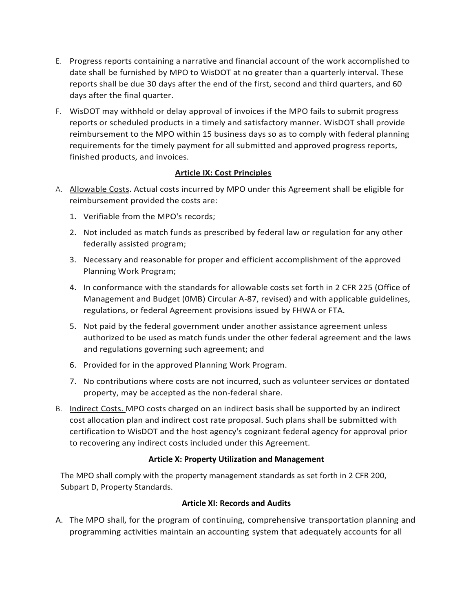- E. Progress reports containing a narrative and financial account of the work accomplished to date shall be furnished by MPO to WisDOT at no greater than a quarterly interval. These reports shall be due 30 days after the end of the first, second and third quarters, and 60 days after the final quarter.
- F. WisDOT may withhold or delay approval of invoices if the MPO fails to submit progress reports or scheduled products in a timely and satisfactory manner. WisDOT shall provide reimbursement to the MPO within 15 business days so as to comply with federal planning requirements for the timely payment for all submitted and approved progress reports, finished products, and invoices.

# **Article IX: Cost Principles**

- A. Allowable Costs. Actual costs incurred by MPO under this Agreement shall be eligible for reimbursement provided the costs are:
	- 1. Verifiable from the MPO's records;
	- 2. Not included as match funds as prescribed by federal law or regulation for any other federally assisted program;
	- 3. Necessary and reasonable for proper and efficient accomplishment of the approved Planning Work Program;
	- 4. In conformance with the standards for allowable costs set forth in 2 CFR 225 (Office of Management and Budget (0MB) Circular A-87, revised) and with applicable guidelines, regulations, or federal Agreement provisions issued by FHWA or FTA.
	- 5. Not paid by the federal government under another assistance agreement unless authorized to be used as match funds under the other federal agreement and the laws and regulations governing such agreement; and
	- 6. Provided for in the approved Planning Work Program.
	- 7. No contributions where costs are not incurred, such as volunteer services or dontated property, may be accepted as the non-federal share.
- B. Indirect Costs. MPO costs charged on an indirect basis shall be supported by an indirect cost allocation plan and indirect cost rate proposal. Such plans shall be submitted with certification to WisDOT and the host agency's cognizant federal agency for approval prior to recovering any indirect costs included under this Agreement.

# **Article X: Property Utilization and Management**

The MPO shall comply with the property management standards as set forth in 2 CFR 200, Subpart D, Property Standards.

## **Article XI: Records and Audits**

A. The MPO shall, for the program of continuing, comprehensive transportation planning and programming activities maintain an accounting system that adequately accounts for all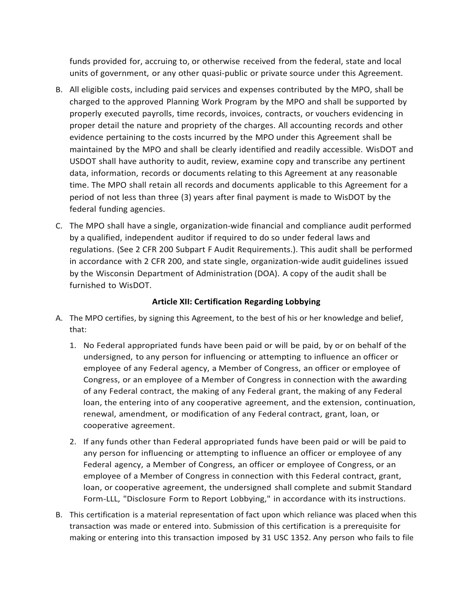funds provided for, accruing to, or otherwise received from the federal, state and local units of government, or any other quasi-public or private source under this Agreement.

- B. All eligible costs, including paid services and expenses contributed by the MPO, shall be charged to the approved Planning Work Program by the MPO and shall be supported by properly executed payrolls, time records, invoices, contracts, or vouchers evidencing in proper detail the nature and propriety of the charges. All accounting records and other evidence pertaining to the costs incurred by the MPO under this Agreement shall be maintained by the MPO and shall be clearly identified and readily accessible. WisDOT and USDOT shall have authority to audit, review, examine copy and transcribe any pertinent data, information, records or documents relating to this Agreement at any reasonable time. The MPO shall retain all records and documents applicable to this Agreement for a period of not less than three (3) years after final payment is made to WisDOT by the federal funding agencies.
- C. The MPO shall have a single, organization-wide financial and compliance audit performed by a qualified, independent auditor if required to do so under federal laws and regulations. (See 2 CFR 200 Subpart F Audit Requirements.). This audit shall be performed in accordance with 2 CFR 200, and state single, organization-wide audit guidelines issued by the Wisconsin Department of Administration (DOA). A copy of the audit shall be furnished to WisDOT.

## **Article XII: Certification Regarding Lobbying**

- A. The MPO certifies, by signing this Agreement, to the best of his or her knowledge and belief, that:
	- 1. No Federal appropriated funds have been paid or will be paid, by or on behalf of the undersigned, to any person for influencing or attempting to influence an officer or employee of any Federal agency, a Member of Congress, an officer or employee of Congress, or an employee of a Member of Congress in connection with the awarding of any Federal contract, the making of any Federal grant, the making of any Federal loan, the entering into of any cooperative agreement, and the extension, continuation, renewal, amendment, or modification of any Federal contract, grant, loan, or cooperative agreement.
	- 2. If any funds other than Federal appropriated funds have been paid or will be paid to any person for influencing or attempting to influence an officer or employee of any Federal agency, a Member of Congress, an officer or employee of Congress, or an employee of a Member of Congress in connection with this Federal contract, grant, loan, or cooperative agreement, the undersigned shall complete and submit Standard Form-LLL, "Disclosure Form to Report Lobbying," in accordance with its instructions.
- B. This certification is a material representation of fact upon which reliance was placed when this transaction was made or entered into. Submission of this certification is a prerequisite for making or entering into this transaction imposed by 31 USC 1352. Any person who fails to file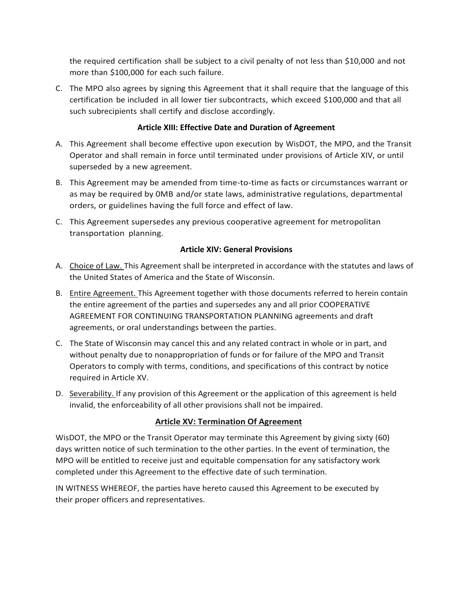the required certification shall be subject to a civil penalty of not less than \$10,000 and not more than \$100,000 for each such failure.

C. The MPO also agrees by signing this Agreement that it shall require that the language of this certification be included in all lower tier subcontracts, which exceed \$100,000 and that all such subrecipients shall certify and disclose accordingly.

# **Article XIII: Effective Date and Duration of Agreement**

- A. This Agreement shall become effective upon execution by WisDOT, the MPO, and the Transit Operator and shall remain in force until terminated under provisions of Article XIV, or until superseded by a new agreement.
- B. This Agreement may be amended from time-to-time as facts or circumstances warrant or as may be required by 0MB and/or state laws, administrative regulations, departmental orders, or guidelines having the full force and effect of law.
- C. This Agreement supersedes any previous cooperative agreement for metropolitan transportation planning.

# **Article XIV: General Provisions**

- A. Choice of Law. This Agreement shall be interpreted in accordance with the statutes and laws of the United States of America and the State of Wisconsin.
- B. Entire Agreement. This Agreement together with those documents referred to herein contain the entire agreement of the parties and supersedes any and all prior COOPERATIVE AGREEMENT FOR CONTINUING TRANSPORTATION PLANNING agreements and draft agreements, or oral understandings between the parties.
- C. The State of Wisconsin may cancel this and any related contract in whole or in part, and without penalty due to nonappropriation of funds or for failure of the MPO and Transit Operators to comply with terms, conditions, and specifications of this contract by notice required in Article XV.
- D. Severability. If any provision of this Agreement or the application of this agreement is held invalid, the enforceability of all other provisions shall not be impaired.

# **Article XV: Termination Of Agreement**

WisDOT, the MPO or the Transit Operator may terminate this Agreement by giving sixty (60) days written notice of such termination to the other parties. In the event of termination, the MPO will be entitled to receive just and equitable compensation for any satisfactory work completed under this Agreement to the effective date of such termination.

IN WITNESS WHEREOF, the parties have hereto caused this Agreement to be executed by their proper officers and representatives.